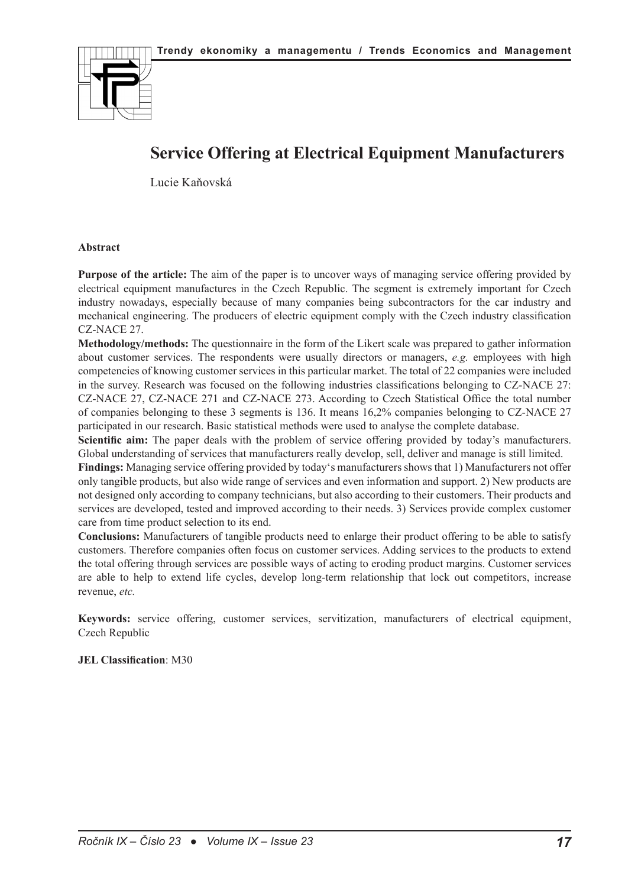

# **Service Offering at Electrical Equipment Manufacturers**

Lucie Kaňovská

#### **Abstract**

**Purpose of the article:** The aim of the paper is to uncover ways of managing service offering provided by electrical equipment manufactures in the Czech Republic. The segment is extremely important for Czech industry nowadays, especially because of many companies being subcontractors for the car industry and mechanical engineering. The producers of electric equipment comply with the Czech industry classification CZ-NACE 27.

**Methodology/methods:** The questionnaire in the form of the Likert scale was prepared to gather information about customer services. The respondents were usually directors or managers, *e.g.* employees with high competencies of knowing customer services in this particular market. The total of 22 companies were included in the survey. Research was focused on the following industries classifications belonging to CZ-NACE 27: CZ-NACE 27, CZ-NACE 271 and CZ-NACE 273. According to Czech Statistical Office the total number of companies belonging to these 3 segments is 136. It means 16,2% companies belonging to CZ-NACE 27 participated in our research. Basic statistical methods were used to analyse the complete database.

**Scientific aim:** The paper deals with the problem of service offering provided by today's manufacturers. Global understanding of services that manufacturers really develop, sell, deliver and manage is still limited.

**Findings:** Managing service offering provided by today's manufacturers shows that 1) Manufacturers not offer only tangible products, but also wide range of services and even information and support. 2) New products are not designed only according to company technicians, but also according to their customers. Their products and services are developed, tested and improved according to their needs. 3) Services provide complex customer care from time product selection to its end.

**Conclusions:** Manufacturers of tangible products need to enlarge their product offering to be able to satisfy customers. Therefore companies often focus on customer services. Adding services to the products to extend the total offering through services are possible ways of acting to eroding product margins. Customer services are able to help to extend life cycles, develop long-term relationship that lock out competitors, increase revenue, *etc.*

**Keywords:** service offering, customer services, servitization, manufacturers of electrical equipment, Czech Republic

#### **JEL Classification**: M30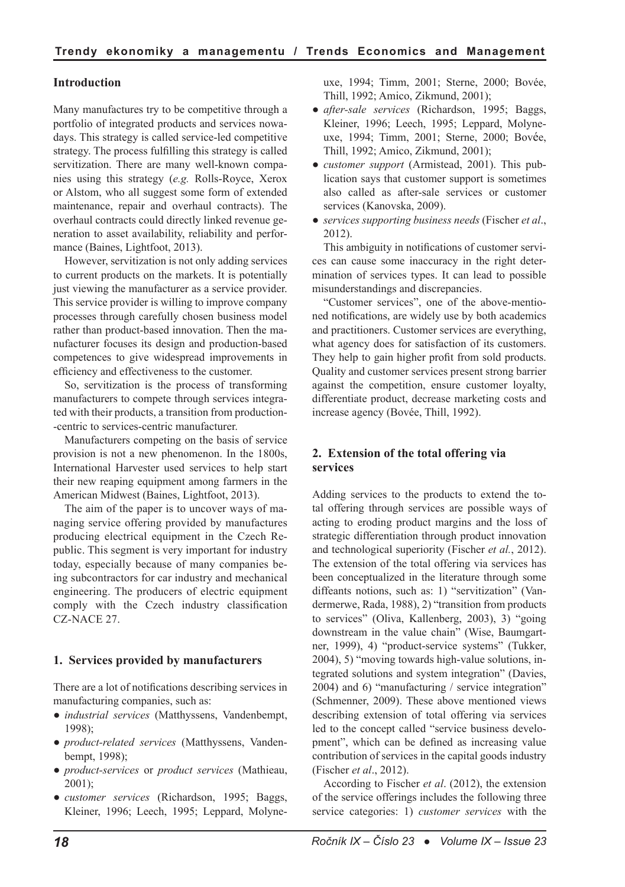# **Introduction**

Many manufactures try to be competitive through a portfolio of integrated products and services nowadays. This strategy is called service-led competitive strategy. The process fulfilling this strategy is called servitization. There are many well-known companies using this strategy (*e.g.* Rolls-Royce, Xerox or Alstom, who all suggest some form of extended maintenance, repair and overhaul contracts). The overhaul contracts could directly linked revenue generation to asset availability, reliability and performance (Baines, Lightfoot, 2013).

However, servitization is not only adding services to current products on the markets. It is potentially just viewing the manufacturer as a service provider. This service provider is willing to improve company processes through carefully chosen business model rather than product-based innovation. Then the manufacturer focuses its design and production-based competences to give widespread improvements in efficiency and effectiveness to the customer.

So, servitization is the process of transforming manufacturers to compete through services integrated with their products, a transition from production- -centric to services-centric manufacturer.

Manufacturers competing on the basis of service provision is not a new phenomenon. In the 1800s, International Harvester used services to help start their new reaping equipment among farmers in the American Midwest (Baines, Lightfoot, 2013).

The aim of the paper is to uncover ways of managing service offering provided by manufactures producing electrical equipment in the Czech Republic. This segment is very important for industry today, especially because of many companies being subcontractors for car industry and mechanical engineering. The producers of electric equipment comply with the Czech industry classification CZ-NACE 27.

## **1. Services provided by manufacturers**

There are a lot of notifications describing services in manufacturing companies, such as:

- *industrial services* (Matthyssens, Vandenbempt, 1998);
- *product-related services* (Matthyssens, Vandenbempt, 1998);
- *product-services* or *product services* (Mathieau, 2001);
- *customer services* (Richardson, 1995; Baggs, Kleiner, 1996; Leech, 1995; Leppard, Molyne-

uxe, 1994; Timm, 2001; Sterne, 2000; Bovée, Thill, 1992; Amico, Zikmund, 2001);

- *after-sale services* (Richardson, 1995; Baggs, Kleiner, 1996; Leech, 1995; Leppard, Molyneuxe, 1994; Timm, 2001; Sterne, 2000; Bovée, Thill, 1992; Amico, Zikmund, 2001);
- *customer support* (Armistead, 2001). This publication says that customer support is sometimes also called as after-sale services or customer services (Kanovska, 2009).
- *services supporting business needs* (Fischer *et al*., 2012).

This ambiguity in notifications of customer services can cause some inaccuracy in the right determination of services types. It can lead to possible misunderstandings and discrepancies.

"Customer services", one of the above-mentioned notifications, are widely use by both academics and practitioners. Customer services are everything, what agency does for satisfaction of its customers. They help to gain higher profit from sold products. Quality and customer services present strong barrier against the competition, ensure customer loyalty, differentiate product, decrease marketing costs and increase agency (Bovée, Thill, 1992).

# **2. Extension of the total offering via services**

Adding services to the products to extend the total offering through services are possible ways of acting to eroding product margins and the loss of strategic differentiation through product innovation and technological superiority (Fischer *et al.*, 2012). The extension of the total offering via services has been conceptualized in the literature through some diffeants notions, such as: 1) "servitization" (Vandermerwe, Rada, 1988), 2) "transition from products to services" (Oliva, Kallenberg, 2003), 3) "going downstream in the value chain" (Wise, Baumgartner, 1999), 4) "product-service systems" (Tukker, 2004), 5) "moving towards high-value solutions, integrated solutions and system integration" (Davies, 2004) and 6) "manufacturing / service integration" (Schmenner, 2009). These above mentioned views describing extension of total offering via services led to the concept called "service business development", which can be defined as increasing value contribution of services in the capital goods industry (Fischer *et al*., 2012).

According to Fischer *et al*. (2012), the extension of the service offerings includes the following three service categories: 1) *customer services* with the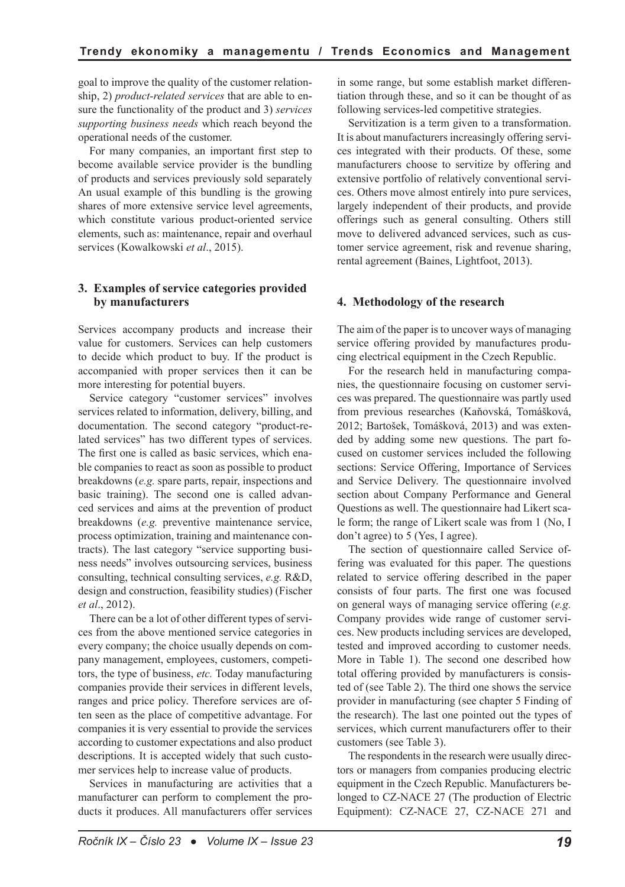goal to improve the quality of the customer relationship, 2) *product-related services* that are able to ensure the functionality of the product and 3) *services supporting business needs* which reach beyond the operational needs of the customer.

For many companies, an important first step to become available service provider is the bundling of products and services previously sold separately An usual example of this bundling is the growing shares of more extensive service level agreements, which constitute various product-oriented service elements, such as: maintenance, repair and overhaul services (Kowalkowski *et al*., 2015).

#### **3. Examples of service categories provided by manufacturers**

Services accompany products and increase their value for customers. Services can help customers to decide which product to buy. If the product is accompanied with proper services then it can be more interesting for potential buyers.

Service category "customer services" involves services related to information, delivery, billing, and documentation. The second category "product-related services" has two different types of services. The first one is called as basic services, which enable companies to react as soon as possible to product breakdowns (*e.g.* spare parts, repair, inspections and basic training). The second one is called advanced services and aims at the prevention of product breakdowns (*e.g.* preventive maintenance service, process optimization, training and maintenance contracts). The last category "service supporting business needs" involves outsourcing services, business consulting, technical consulting services, *e.g.* R&D, design and construction, feasibility studies) (Fischer *et al*., 2012).

There can be a lot of other different types of services from the above mentioned service categories in every company; the choice usually depends on company management, employees, customers, competitors, the type of business, *etc.* Today manufacturing companies provide their services in different levels, ranges and price policy. Therefore services are often seen as the place of competitive advantage. For companies it is very essential to provide the services according to customer expectations and also product descriptions. It is accepted widely that such customer services help to increase value of products.

Services in manufacturing are activities that a manufacturer can perform to complement the products it produces. All manufacturers offer services in some range, but some establish market differentiation through these, and so it can be thought of as following services-led competitive strategies.

Servitization is a term given to a transformation. It is about manufacturers increasingly offering services integrated with their products. Of these, some manufacturers choose to servitize by offering and extensive portfolio of relatively conventional services. Others move almost entirely into pure services, largely independent of their products, and provide offerings such as general consulting. Others still move to delivered advanced services, such as customer service agreement, risk and revenue sharing, rental agreement (Baines, Lightfoot, 2013).

## **4. Methodology of the research**

The aim of the paper is to uncover ways of managing service offering provided by manufactures producing electrical equipment in the Czech Republic.

For the research held in manufacturing companies, the questionnaire focusing on customer services was prepared. The questionnaire was partly used from previous researches (Kaňovská, Tomášková, 2012; Bartošek, Tomášková, 2013) and was extended by adding some new questions. The part focused on customer services included the following sections: Service Offering, Importance of Services and Service Delivery. The questionnaire involved section about Company Performance and General Questions as well. The questionnaire had Likert scale form; the range of Likert scale was from 1 (No, I don't agree) to 5 (Yes, I agree).

The section of questionnaire called Service offering was evaluated for this paper. The questions related to service offering described in the paper consists of four parts. The first one was focused on general ways of managing service offering (*e.g.* Company provides wide range of customer services. New products including services are developed, tested and improved according to customer needs. More in Table 1). The second one described how total offering provided by manufacturers is consisted of (see Table 2). The third one shows the service provider in manufacturing (see chapter 5 Finding of the research). The last one pointed out the types of services, which current manufacturers offer to their customers (see Table 3).

The respondents in the research were usually directors or managers from companies producing electric equipment in the Czech Republic. Manufacturers belonged to CZ-NACE 27 (The production of Electric Equipment): CZ-NACE 27, CZ-NACE 271 and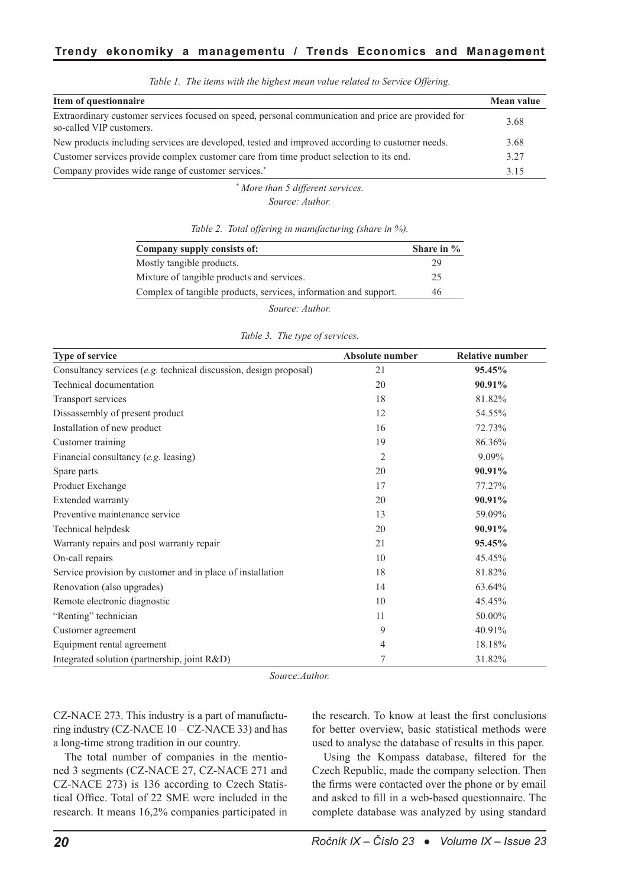| Item of questionnaire                                                                                                           | Mean value |
|---------------------------------------------------------------------------------------------------------------------------------|------------|
| Extraordinary customer services focused on speed, personal communication and price are provided for<br>so-called VIP customers. | 3.68       |
| New products including services are developed, tested and improved according to customer needs.                                 | 3.68       |
| Customer services provide complex customer care from time product selection to its end.                                         | 3.27       |
| Company provides wide range of customer services. <sup>*</sup>                                                                  | 3.15       |

*Table 1. The items with the highest mean value related to Service Offering.*

*\* More than 5 different services. Source: Author.*

| Company supply consists of:                                      | Share in $\%$ |
|------------------------------------------------------------------|---------------|
| Mostly tangible products.                                        | 29            |
| Mixture of tangible products and services.                       | 25            |
| Complex of tangible products, services, information and support. | 46            |
| Source: Author.                                                  |               |

*Table 3. The type of services.*

*Table 2. Total offering in manufacturing (share in %).*

| <b>Type of service</b>                                            | Absolute number | <b>Relative number</b> |
|-------------------------------------------------------------------|-----------------|------------------------|
| Consultancy services (e.g. technical discussion, design proposal) | 21              | 95.45%                 |
| Technical documentation                                           | 20              | 90.91%                 |
| Transport services                                                | 18              | 81.82%                 |
| Dissassembly of present product                                   | 12              | 54.55%                 |
| Installation of new product                                       | 16              | 72.73%                 |
| Customer training                                                 | 19              | 86.36%                 |
| Financial consultancy (e.g. leasing)                              | $\overline{2}$  | $9.09\%$               |
| Spare parts                                                       | 20              | 90.91%                 |
| Product Exchange                                                  | 17              | 77.27%                 |
| Extended warranty                                                 | 20              | 90.91%                 |
| Preventive maintenance service                                    | 13              | 59.09%                 |
| Technical helpdesk                                                | 20              | 90.91%                 |
| Warranty repairs and post warranty repair                         | 21              | 95.45%                 |
| On-call repairs                                                   | 10              | 45.45%                 |
| Service provision by customer and in place of installation        | 18              | 81.82%                 |
| Renovation (also upgrades)                                        | 14              | 63.64%                 |
| Remote electronic diagnostic                                      | 10              | 45.45%                 |
| "Renting" technician                                              | 11              | 50.00%                 |
| Customer agreement                                                | 9               | 40.91%                 |
| Equipment rental agreement                                        | 4               | 18.18%                 |
| Integrated solution (partnership, joint R&D)                      | 7               | 31.82%                 |

*Source:Author.*

CZ-NACE 273. This industry is a part of manufacturing industry (CZ-NACE  $10 - CZ$ -NACE 33) and has a long-time strong tradition in our country.

The total number of companies in the mentioned 3 segments (CZ-NACE 27, CZ-NACE 271 and CZ-NACE 273) is 136 according to Czech Statistical Office. Total of 22 SME were included in the research. It means 16,2% companies participated in the research. To know at least the first conclusions for better overview, basic statistical methods were used to analyse the database of results in this paper.

Using the Kompass database, filtered for the Czech Republic, made the company selection. Then the firms were contacted over the phone or by email and asked to fill in a web-based questionnaire. The complete database was analyzed by using standard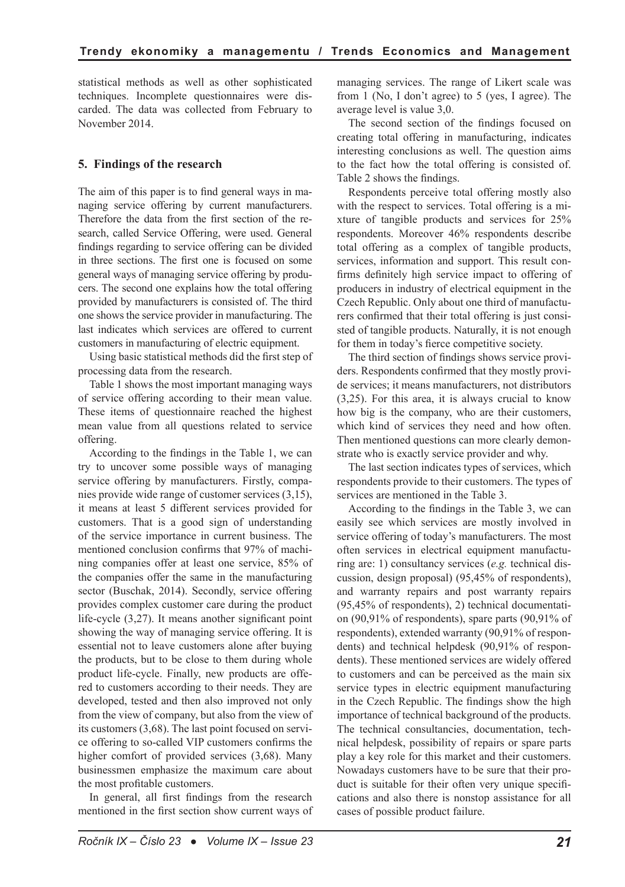statistical methods as well as other sophisticated techniques. Incomplete questionnaires were discarded. The data was collected from February to November 2014.

# **5. Findings of the research**

The aim of this paper is to find general ways in managing service offering by current manufacturers. Therefore the data from the first section of the research, called Service Offering, were used. General findings regarding to service offering can be divided in three sections. The first one is focused on some general ways of managing service offering by producers. The second one explains how the total offering provided by manufacturers is consisted of. The third one shows the service provider in manufacturing. The last indicates which services are offered to current customers in manufacturing of electric equipment.

Using basic statistical methods did the first step of processing data from the research.

Table 1 shows the most important managing ways of service offering according to their mean value. These items of questionnaire reached the highest mean value from all questions related to service offering.

According to the findings in the Table 1, we can try to uncover some possible ways of managing service offering by manufacturers. Firstly, companies provide wide range of customer services (3,15), it means at least 5 different services provided for customers. That is a good sign of understanding of the service importance in current business. The mentioned conclusion confirms that 97% of machining companies offer at least one service, 85% of the companies offer the same in the manufacturing sector (Buschak, 2014). Secondly, service offering provides complex customer care during the product life-cycle (3,27). It means another significant point showing the way of managing service offering. It is essential not to leave customers alone after buying the products, but to be close to them during whole product life-cycle. Finally, new products are offered to customers according to their needs. They are developed, tested and then also improved not only from the view of company, but also from the view of its customers (3,68). The last point focused on service offering to so-called VIP customers confirms the higher comfort of provided services (3,68). Many businessmen emphasize the maximum care about the most profitable customers.

In general, all first findings from the research mentioned in the first section show current ways of managing services. The range of Likert scale was from 1 (No, I don't agree) to 5 (yes, I agree). The average level is value 3,0.

The second section of the findings focused on creating total offering in manufacturing, indicates interesting conclusions as well. The question aims to the fact how the total offering is consisted of. Table 2 shows the findings.

Respondents perceive total offering mostly also with the respect to services. Total offering is a mixture of tangible products and services for 25% respondents. Moreover 46% respondents describe total offering as a complex of tangible products, services, information and support. This result confirms definitely high service impact to offering of producers in industry of electrical equipment in the Czech Republic. Only about one third of manufacturers confirmed that their total offering is just consisted of tangible products. Naturally, it is not enough for them in today's fierce competitive society.

The third section of findings shows service providers. Respondents confirmed that they mostly provide services; it means manufacturers, not distributors (3,25). For this area, it is always crucial to know how big is the company, who are their customers, which kind of services they need and how often. Then mentioned questions can more clearly demonstrate who is exactly service provider and why.

The last section indicates types of services, which respondents provide to their customers. The types of services are mentioned in the Table 3.

According to the findings in the Table 3, we can easily see which services are mostly involved in service offering of today's manufacturers. The most often services in electrical equipment manufacturing are: 1) consultancy services (*e.g.* technical discussion, design proposal) (95,45% of respondents), and warranty repairs and post warranty repairs (95,45% of respondents), 2) technical documentation (90,91% of respondents), spare parts (90,91% of respondents), extended warranty (90,91% of respondents) and technical helpdesk (90,91% of respondents). These mentioned services are widely offered to customers and can be perceived as the main six service types in electric equipment manufacturing in the Czech Republic. The findings show the high importance of technical background of the products. The technical consultancies, documentation, technical helpdesk, possibility of repairs or spare parts play a key role for this market and their customers. Nowadays customers have to be sure that their product is suitable for their often very unique specifications and also there is nonstop assistance for all cases of possible product failure.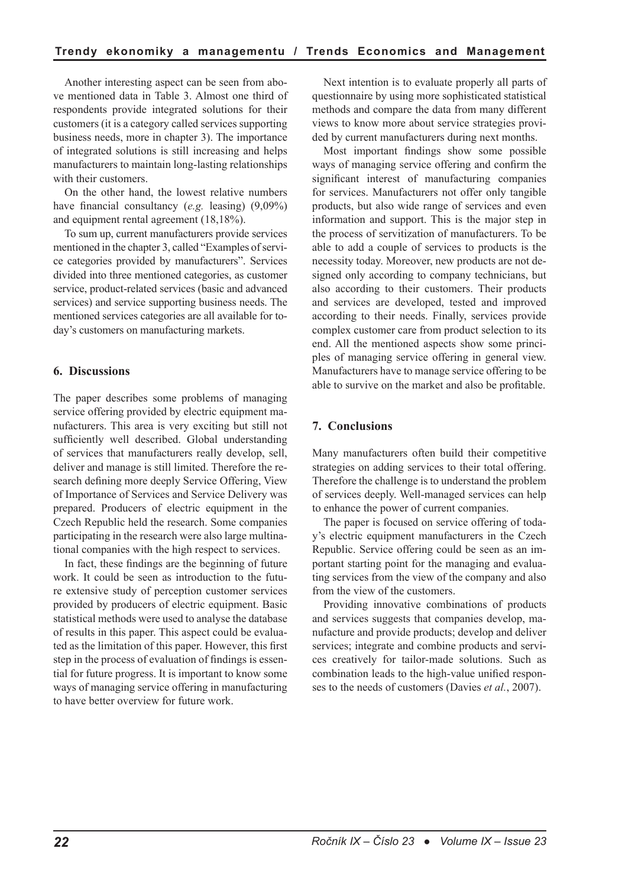Another interesting aspect can be seen from above mentioned data in Table 3. Almost one third of respondents provide integrated solutions for their customers (it is a category called services supporting business needs, more in chapter 3). The importance of integrated solutions is still increasing and helps manufacturers to maintain long-lasting relationships with their customers.

On the other hand, the lowest relative numbers have financial consultancy (*e.g.* leasing) (9,09%) and equipment rental agreement (18,18%).

To sum up, current manufacturers provide services mentioned in the chapter 3, called "Examples of service categories provided by manufacturers". Services divided into three mentioned categories, as customer service, product-related services (basic and advanced services) and service supporting business needs. The mentioned services categories are all available for today's customers on manufacturing markets.

## **6. Discussions**

The paper describes some problems of managing service offering provided by electric equipment manufacturers. This area is very exciting but still not sufficiently well described. Global understanding of services that manufacturers really develop, sell, deliver and manage is still limited. Therefore the research defining more deeply Service Offering, View of Importance of Services and Service Delivery was prepared. Producers of electric equipment in the Czech Republic held the research. Some companies participating in the research were also large multinational companies with the high respect to services.

In fact, these findings are the beginning of future work. It could be seen as introduction to the future extensive study of perception customer services provided by producers of electric equipment. Basic statistical methods were used to analyse the database of results in this paper. This aspect could be evaluated as the limitation of this paper. However, this first step in the process of evaluation of findings is essential for future progress. It is important to know some ways of managing service offering in manufacturing to have better overview for future work.

Next intention is to evaluate properly all parts of questionnaire by using more sophisticated statistical methods and compare the data from many different views to know more about service strategies provided by current manufacturers during next months.

Most important findings show some possible ways of managing service offering and confirm the significant interest of manufacturing companies for services. Manufacturers not offer only tangible products, but also wide range of services and even information and support. This is the major step in the process of servitization of manufacturers. To be able to add a couple of services to products is the necessity today. Moreover, new products are not designed only according to company technicians, but also according to their customers. Their products and services are developed, tested and improved according to their needs. Finally, services provide complex customer care from product selection to its end. All the mentioned aspects show some principles of managing service offering in general view. Manufacturers have to manage service offering to be able to survive on the market and also be profitable.

# **7. Conclusions**

Many manufacturers often build their competitive strategies on adding services to their total offering. Therefore the challenge is to understand the problem of services deeply. Well-managed services can help to enhance the power of current companies.

The paper is focused on service offering of today's electric equipment manufacturers in the Czech Republic. Service offering could be seen as an important starting point for the managing and evaluating services from the view of the company and also from the view of the customers.

Providing innovative combinations of products and services suggests that companies develop, manufacture and provide products; develop and deliver services; integrate and combine products and services creatively for tailor-made solutions. Such as combination leads to the high-value unified responses to the needs of customers (Davies *et al.*, 2007).